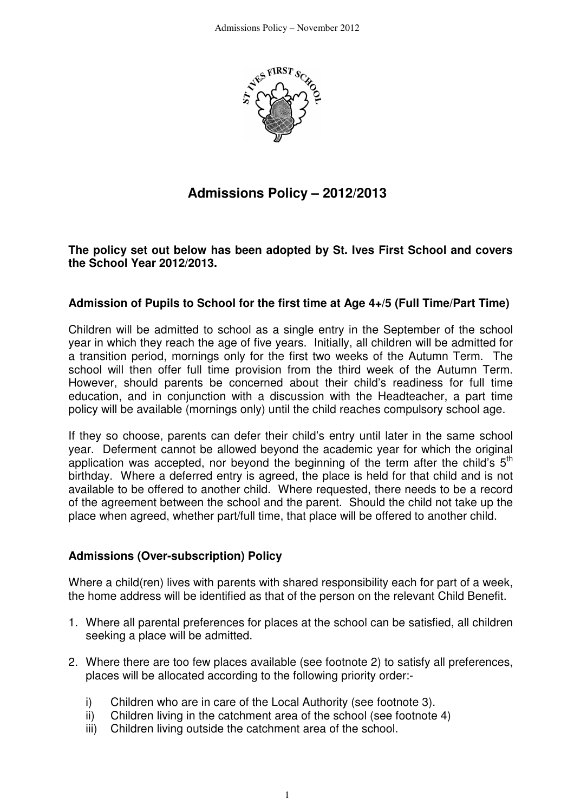

# **Admissions Policy – 2012/2013**

**The policy set out below has been adopted by St. Ives First School and covers the School Year 2012/2013.** 

### **Admission of Pupils to School for the first time at Age 4+/5 (Full Time/Part Time)**

Children will be admitted to school as a single entry in the September of the school year in which they reach the age of five years. Initially, all children will be admitted for a transition period, mornings only for the first two weeks of the Autumn Term. The school will then offer full time provision from the third week of the Autumn Term. However, should parents be concerned about their child's readiness for full time education, and in conjunction with a discussion with the Headteacher, a part time policy will be available (mornings only) until the child reaches compulsory school age.

If they so choose, parents can defer their child's entry until later in the same school year. Deferment cannot be allowed beyond the academic year for which the original application was accepted, nor beyond the beginning of the term after the child's  $5<sup>th</sup>$ birthday. Where a deferred entry is agreed, the place is held for that child and is not available to be offered to another child. Where requested, there needs to be a record of the agreement between the school and the parent. Should the child not take up the place when agreed, whether part/full time, that place will be offered to another child.

### **Admissions (Over-subscription) Policy**

Where a child(ren) lives with parents with shared responsibility each for part of a week, the home address will be identified as that of the person on the relevant Child Benefit.

- 1. Where all parental preferences for places at the school can be satisfied, all children seeking a place will be admitted.
- 2. Where there are too few places available (see footnote 2) to satisfy all preferences, places will be allocated according to the following priority order:
	- i) Children who are in care of the Local Authority (see footnote 3).
	- ii) Children living in the catchment area of the school (see footnote 4)
	- iii) Children living outside the catchment area of the school.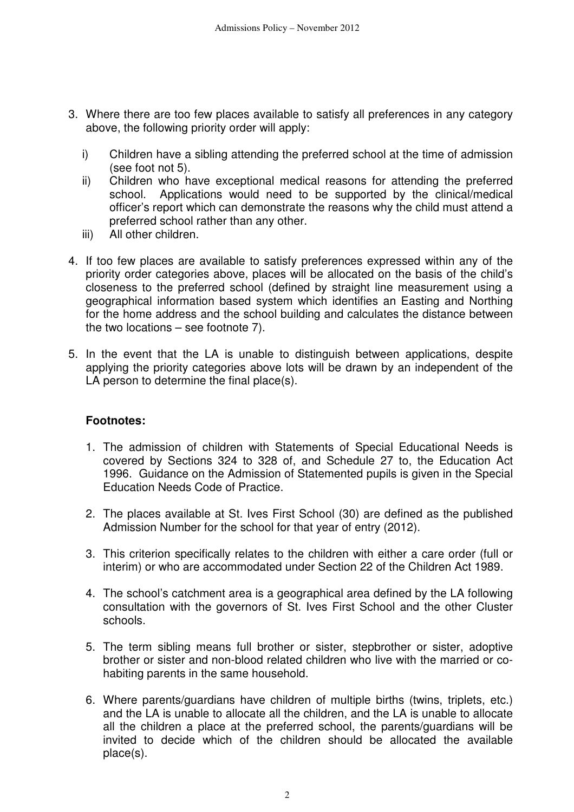- 3. Where there are too few places available to satisfy all preferences in any category above, the following priority order will apply:
	- i) Children have a sibling attending the preferred school at the time of admission (see foot not 5).
	- ii) Children who have exceptional medical reasons for attending the preferred school. Applications would need to be supported by the clinical/medical officer's report which can demonstrate the reasons why the child must attend a preferred school rather than any other.
	- iii) All other children.
- 4. If too few places are available to satisfy preferences expressed within any of the priority order categories above, places will be allocated on the basis of the child's closeness to the preferred school (defined by straight line measurement using a geographical information based system which identifies an Easting and Northing for the home address and the school building and calculates the distance between the two locations – see footnote 7).
- 5. In the event that the LA is unable to distinguish between applications, despite applying the priority categories above lots will be drawn by an independent of the LA person to determine the final place(s).

### **Footnotes:**

- 1. The admission of children with Statements of Special Educational Needs is covered by Sections 324 to 328 of, and Schedule 27 to, the Education Act 1996. Guidance on the Admission of Statemented pupils is given in the Special Education Needs Code of Practice.
- 2. The places available at St. Ives First School (30) are defined as the published Admission Number for the school for that year of entry (2012).
- 3. This criterion specifically relates to the children with either a care order (full or interim) or who are accommodated under Section 22 of the Children Act 1989.
- 4. The school's catchment area is a geographical area defined by the LA following consultation with the governors of St. Ives First School and the other Cluster schools.
- 5. The term sibling means full brother or sister, stepbrother or sister, adoptive brother or sister and non-blood related children who live with the married or cohabiting parents in the same household.
- 6. Where parents/guardians have children of multiple births (twins, triplets, etc.) and the LA is unable to allocate all the children, and the LA is unable to allocate all the children a place at the preferred school, the parents/guardians will be invited to decide which of the children should be allocated the available place(s).